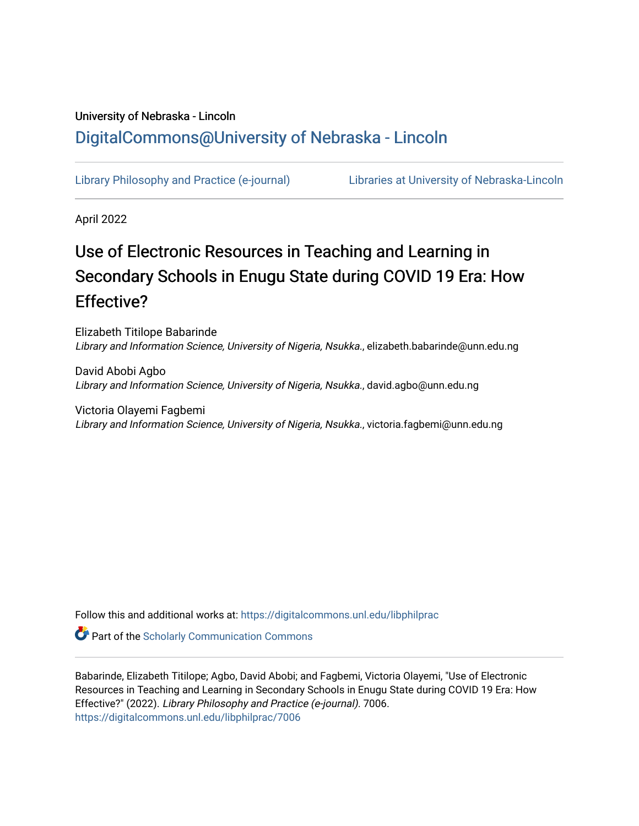# University of Nebraska - Lincoln [DigitalCommons@University of Nebraska - Lincoln](https://digitalcommons.unl.edu/)

[Library Philosophy and Practice \(e-journal\)](https://digitalcommons.unl.edu/libphilprac) [Libraries at University of Nebraska-Lincoln](https://digitalcommons.unl.edu/libraries) 

April 2022

# Use of Electronic Resources in Teaching and Learning in Secondary Schools in Enugu State during COVID 19 Era: How Effective?

Elizabeth Titilope Babarinde Library and Information Science, University of Nigeria, Nsukka., elizabeth.babarinde@unn.edu.ng

David Abobi Agbo Library and Information Science, University of Nigeria, Nsukka., david.agbo@unn.edu.ng

Victoria Olayemi Fagbemi Library and Information Science, University of Nigeria, Nsukka., victoria.fagbemi@unn.edu.ng

Follow this and additional works at: [https://digitalcommons.unl.edu/libphilprac](https://digitalcommons.unl.edu/libphilprac?utm_source=digitalcommons.unl.edu%2Flibphilprac%2F7006&utm_medium=PDF&utm_campaign=PDFCoverPages) 

**Part of the Scholarly Communication Commons** 

Babarinde, Elizabeth Titilope; Agbo, David Abobi; and Fagbemi, Victoria Olayemi, "Use of Electronic Resources in Teaching and Learning in Secondary Schools in Enugu State during COVID 19 Era: How Effective?" (2022). Library Philosophy and Practice (e-journal). 7006. [https://digitalcommons.unl.edu/libphilprac/7006](https://digitalcommons.unl.edu/libphilprac/7006?utm_source=digitalcommons.unl.edu%2Flibphilprac%2F7006&utm_medium=PDF&utm_campaign=PDFCoverPages)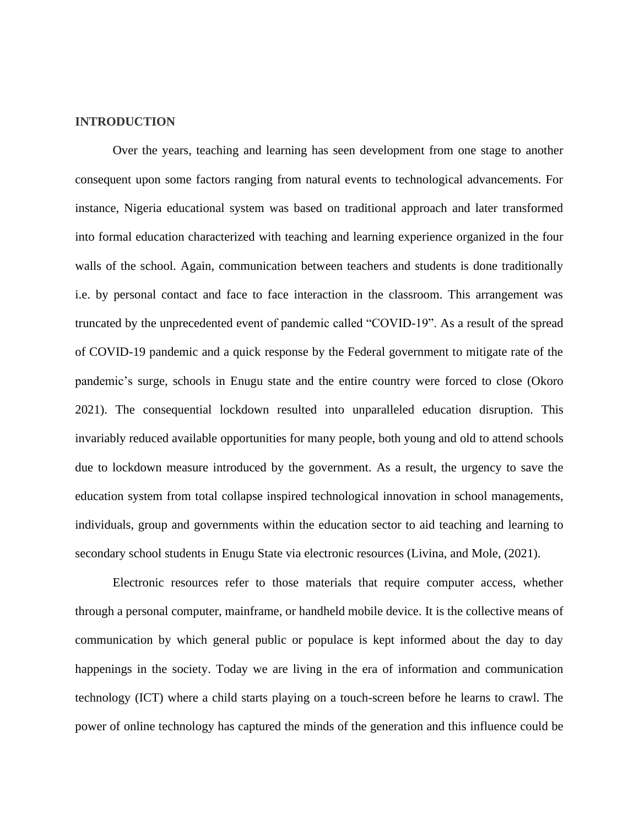#### **INTRODUCTION**

Over the years, teaching and learning has seen development from one stage to another consequent upon some factors ranging from natural events to technological advancements. For instance, Nigeria educational system was based on traditional approach and later transformed into formal education characterized with teaching and learning experience organized in the four walls of the school. Again, communication between teachers and students is done traditionally i.e. by personal contact and face to face interaction in the classroom. This arrangement was truncated by the unprecedented event of pandemic called "COVID-19". As a result of the spread of COVID-19 pandemic and a quick response by the Federal government to mitigate rate of the pandemic's surge, schools in Enugu state and the entire country were forced to close (Okoro 2021). The consequential lockdown resulted into unparalleled education disruption. This invariably reduced available opportunities for many people, both young and old to attend schools due to lockdown measure introduced by the government. As a result, the urgency to save the education system from total collapse inspired technological innovation in school managements, individuals, group and governments within the education sector to aid teaching and learning to secondary school students in Enugu State via electronic resources (Livina, and Mole, (2021).

Electronic resources refer to those materials that require computer access, whether through a personal computer, mainframe, or handheld mobile device. It is the collective means of communication by which general public or populace is kept informed about the day to day happenings in the society. Today we are living in the era of information and communication technology (ICT) where a child starts playing on a touch-screen before he learns to crawl. The power of online technology has captured the minds of the generation and this influence could be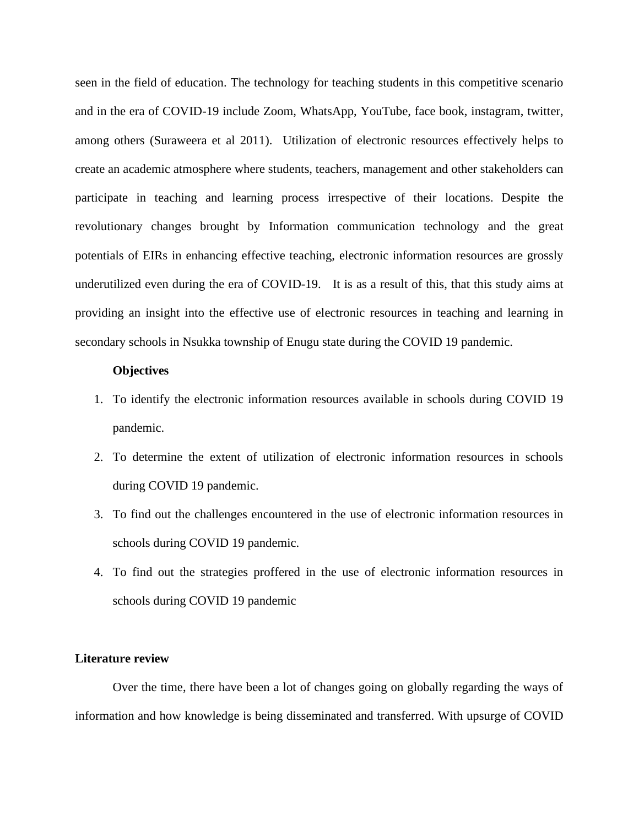seen in the field of education. The technology for teaching students in this competitive scenario and in the era of COVID-19 include Zoom, WhatsApp, YouTube, face book, instagram, twitter, among others (Suraweera et al 2011). Utilization of electronic resources effectively helps to create an academic atmosphere where students, teachers, management and other stakeholders can participate in teaching and learning process irrespective of their locations. Despite the revolutionary changes brought by Information communication technology and the great potentials of EIRs in enhancing effective teaching, electronic information resources are grossly underutilized even during the era of COVID-19. It is as a result of this, that this study aims at providing an insight into the effective use of electronic resources in teaching and learning in secondary schools in Nsukka township of Enugu state during the COVID 19 pandemic.

#### **Objectives**

- 1. To identify the electronic information resources available in schools during COVID 19 pandemic.
- 2. To determine the extent of utilization of electronic information resources in schools during COVID 19 pandemic.
- 3. To find out the challenges encountered in the use of electronic information resources in schools during COVID 19 pandemic.
- 4. To find out the strategies proffered in the use of electronic information resources in schools during COVID 19 pandemic

### **Literature review**

Over the time, there have been a lot of changes going on globally regarding the ways of information and how knowledge is being disseminated and transferred. With upsurge of COVID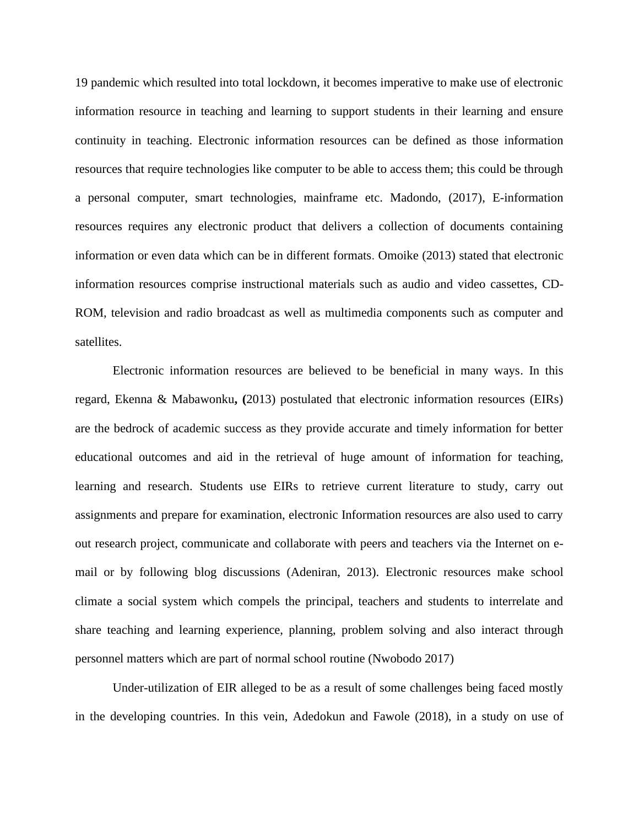19 pandemic which resulted into total lockdown, it becomes imperative to make use of electronic information resource in teaching and learning to support students in their learning and ensure continuity in teaching. Electronic information resources can be defined as those information resources that require technologies like computer to be able to access them; this could be through a personal computer, smart technologies, mainframe etc. Madondo, (2017), E-information resources requires any electronic product that delivers a collection of documents containing information or even data which can be in different formats. Omoike (2013) stated that electronic information resources comprise instructional materials such as audio and video cassettes, CD-ROM, television and radio broadcast as well as multimedia components such as computer and satellites.

Electronic information resources are believed to be beneficial in many ways. In this regard, Ekenna & Mabawonku**, (**2013) postulated that electronic information resources (EIRs) are the bedrock of academic success as they provide accurate and timely information for better educational outcomes and aid in the retrieval of huge amount of information for teaching, learning and research. Students use EIRs to retrieve current literature to study, carry out assignments and prepare for examination, electronic Information resources are also used to carry out research project, communicate and collaborate with peers and teachers via the Internet on email or by following blog discussions (Adeniran, 2013). Electronic resources make school climate a social system which compels the principal, teachers and students to interrelate and share teaching and learning experience, planning, problem solving and also interact through personnel matters which are part of normal school routine (Nwobodo 2017)

Under-utilization of EIR alleged to be as a result of some challenges being faced mostly in the developing countries. In this vein, Adedokun and Fawole (2018), in a study on use of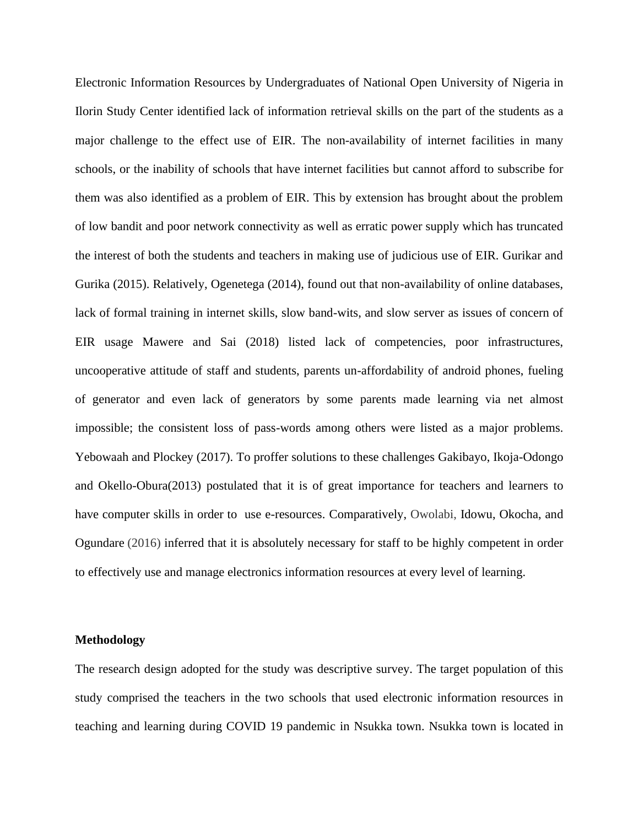Electronic Information Resources by Undergraduates of National Open University of Nigeria in Ilorin Study Center identified lack of information retrieval skills on the part of the students as a major challenge to the effect use of EIR. The non-availability of internet facilities in many schools, or the inability of schools that have internet facilities but cannot afford to subscribe for them was also identified as a problem of EIR. This by extension has brought about the problem of low bandit and poor network connectivity as well as erratic power supply which has truncated the interest of both the students and teachers in making use of judicious use of EIR. Gurikar and Gurika (2015). Relatively, Ogenetega (2014), found out that non-availability of online databases, lack of formal training in internet skills, slow band-wits, and slow server as issues of concern of EIR usage Mawere and Sai (2018) listed lack of competencies, poor infrastructures, uncooperative attitude of staff and students, parents un-affordability of android phones, fueling of generator and even lack of generators by some parents made learning via net almost impossible; the consistent loss of pass-words among others were listed as a major problems. Yebowaah and Plockey (2017). To proffer solutions to these challenges Gakibayo, Ikoja-Odongo and Okello-Obura(2013) postulated that it is of great importance for teachers and learners to have computer skills in order to use e-resources. Comparatively, Owolabi, Idowu, Okocha, and Ogundare (2016) inferred that it is absolutely necessary for staff to be highly competent in order to effectively use and manage electronics information resources at every level of learning.

#### **Methodology**

The research design adopted for the study was descriptive survey. The target population of this study comprised the teachers in the two schools that used electronic information resources in teaching and learning during COVID 19 pandemic in Nsukka town. Nsukka town is located in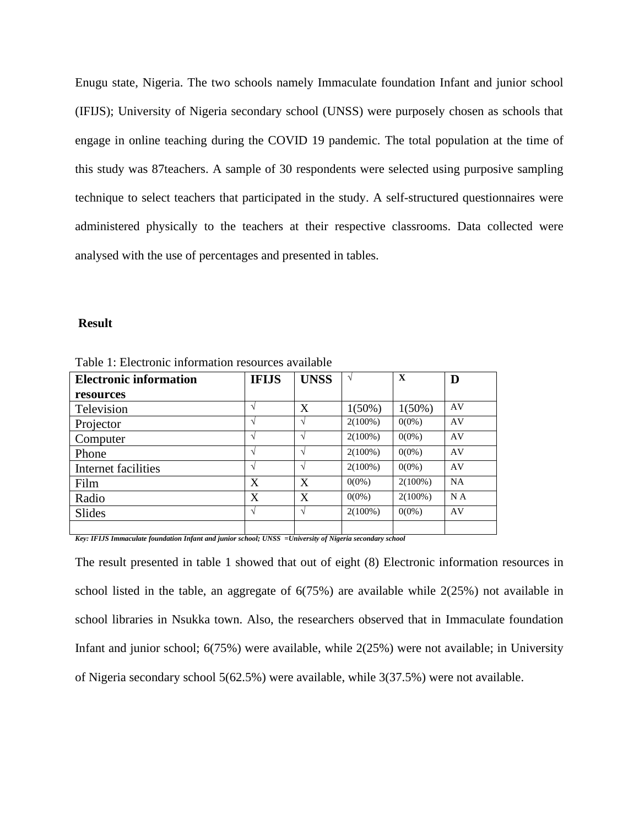Enugu state, Nigeria. The two schools namely Immaculate foundation Infant and junior school (IFIJS); University of Nigeria secondary school (UNSS) were purposely chosen as schools that engage in online teaching during the COVID 19 pandemic. The total population at the time of this study was 87teachers. A sample of 30 respondents were selected using purposive sampling technique to select teachers that participated in the study. A self-structured questionnaires were administered physically to the teachers at their respective classrooms. Data collected were analysed with the use of percentages and presented in tables.

#### **Result**

| <b>Electronic information</b>                                                        | <b>IFIJS</b>                                            | <b>UNSS</b>   | V          | $\mathbf{X}$ | D   |
|--------------------------------------------------------------------------------------|---------------------------------------------------------|---------------|------------|--------------|-----|
| resources                                                                            |                                                         |               |            |              |     |
| Television                                                                           |                                                         | X             | $1(50\%)$  | $1(50\%)$    | AV  |
| Projector                                                                            |                                                         | $\mathcal{L}$ | $2(100\%)$ | $0(0\%)$     | AV  |
| Computer                                                                             |                                                         | $\mathcal{L}$ | $2(100\%)$ | $0(0\%)$     | AV  |
| Phone                                                                                |                                                         | $\sqrt{ }$    | $2(100\%)$ | $0(0\%)$     | AV  |
| Internet facilities                                                                  |                                                         | $\sim$        | $2(100\%)$ | $0(0\%)$     | AV  |
| Film                                                                                 | X                                                       | X             | $0(0\%)$   | $2(100\%)$   | NA  |
| Radio                                                                                | X                                                       | X             | $0(0\%)$   | $2(100\%)$   | N A |
| <b>Slides</b>                                                                        |                                                         | $\mathcal{N}$ | $2(100\%)$ | $0(0\%)$     | AV  |
| $\frac{1}{2}$<br>$\cdot$ $\cdot$ $\cdot$ $\cdot$ $\cdot$ $\cdot$ $\cdot$<br>$\cdots$ | $\sim$ $\sim$ $\sim$ $\sim$ $\sim$ $\sim$ $\sim$ $\sim$ | $- - -$       | $\sim$     |              |     |

Table 1: Electronic information resources available

*Key: IFIJS Immaculate foundation Infant and junior school; UNSS =University of Nigeria secondary school*

The result presented in table 1 showed that out of eight (8) Electronic information resources in school listed in the table, an aggregate of 6(75%) are available while 2(25%) not available in school libraries in Nsukka town. Also, the researchers observed that in Immaculate foundation Infant and junior school; 6(75%) were available, while 2(25%) were not available; in University of Nigeria secondary school 5(62.5%) were available, while 3(37.5%) were not available.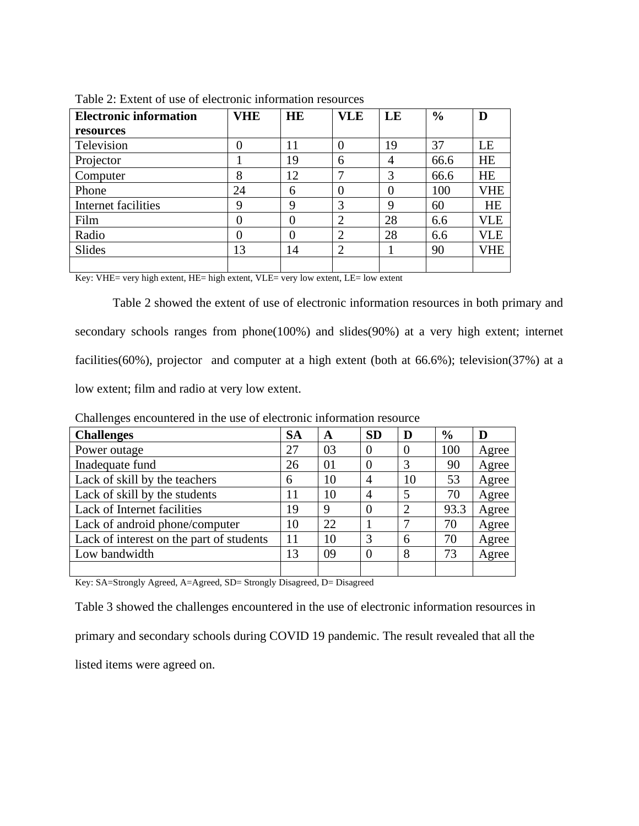| <b>Electronic information</b> | VHE | <b>HE</b> | <b>VLE</b>     | LE       | $\frac{6}{6}$ | D          |
|-------------------------------|-----|-----------|----------------|----------|---------------|------------|
| resources                     |     |           |                |          |               |            |
| Television                    | 0   | 11        | $\theta$       | 19       | 37            | LE         |
| Projector                     |     | 19        | 6              | 4        | 66.6          | <b>HE</b>  |
| Computer                      | 8   | 12        | 7              | 3        | 66.6          | <b>HE</b>  |
| Phone                         | 24  | 6         | $\overline{0}$ | $\Omega$ | 100           | <b>VHE</b> |
| Internet facilities           | 9   | 9         | 3              | 9        | 60            | <b>HE</b>  |
| Film                          | 0   | 0         | $\overline{2}$ | 28       | 6.6           | VLE        |
| Radio                         | 0   | $\Omega$  | $\overline{2}$ | 28       | 6.6           | VLE        |
| Slides                        | 13  | 14        | $\overline{2}$ |          | 90            | VHE        |
|                               |     |           |                |          |               |            |

Table 2: Extent of use of electronic information resources

Key: VHE= very high extent, HE= high extent, VLE= very low extent, LE= low extent

Table 2 showed the extent of use of electronic information resources in both primary and secondary schools ranges from phone(100%) and slides(90%) at a very high extent; internet facilities(60%), projector and computer at a high extent (both at 66.6%); television(37%) at a low extent; film and radio at very low extent.

| <b>Challenges</b>                        | <b>SA</b> | A  | <b>SD</b>      | D              | $\frac{6}{9}$ | D     |
|------------------------------------------|-----------|----|----------------|----------------|---------------|-------|
| Power outage                             | 27        | 03 | $\overline{0}$ | $\overline{0}$ | 100           | Agree |
| Inadequate fund                          | 26        | 01 | $\theta$       | 3              | 90            | Agree |
| Lack of skill by the teachers            | 6         | 10 | $\overline{4}$ | 10             | 53            | Agree |
| Lack of skill by the students            | 11        | 10 | 4              | 5              | 70            | Agree |
| Lack of Internet facilities              | 19        | 9  | $\theta$       | $\overline{2}$ | 93.3          | Agree |
| Lack of android phone/computer           | 10        | 22 |                | 7              | 70            | Agree |
| Lack of interest on the part of students | 11        | 10 | 3              | 6              | 70            | Agree |
| Low bandwidth                            | 13        | 09 | $\Omega$       | 8              | 73            | Agree |
|                                          |           |    |                |                |               |       |

Challenges encountered in the use of electronic information resource

Key: SA=Strongly Agreed, A=Agreed, SD= Strongly Disagreed, D= Disagreed

Table 3 showed the challenges encountered in the use of electronic information resources in primary and secondary schools during COVID 19 pandemic. The result revealed that all the listed items were agreed on.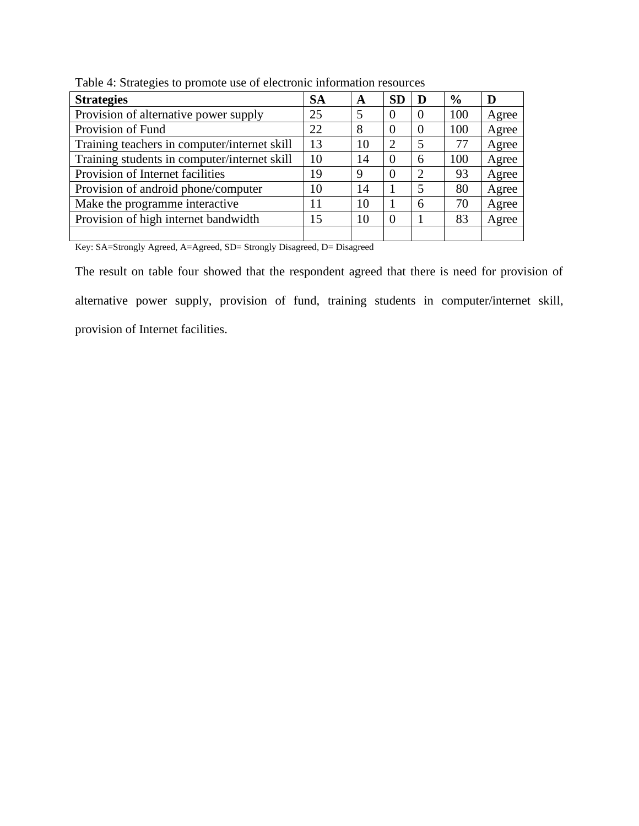| <b>Strategies</b>                            | <b>SA</b> | A  | <b>SD</b> | D              | $\frac{6}{9}$ | D     |
|----------------------------------------------|-----------|----|-----------|----------------|---------------|-------|
| Provision of alternative power supply        | 25        | 5  | $\theta$  | $\theta$       | 100           | Agree |
| Provision of Fund                            | 22        | 8  | ( )       | $\Omega$       | 100           | Agree |
| Training teachers in computer/internet skill | 13        | 10 | ∍         | 5              | 77            | Agree |
| Training students in computer/internet skill | 10        | 14 | $\theta$  | 6              | 100           | Agree |
| Provision of Internet facilities             | 19        | 9  | 0         | $\overline{2}$ | 93            | Agree |
| Provision of android phone/computer          | 10        | 14 |           | $\overline{5}$ | 80            | Agree |
| Make the programme interactive               | 11        | 10 |           | 6              | 70            | Agree |
| Provision of high internet bandwidth         | 15        | 10 | 0         |                | 83            | Agree |
|                                              |           |    |           |                |               |       |

Table 4: Strategies to promote use of electronic information resources

Key: SA=Strongly Agreed, A=Agreed, SD= Strongly Disagreed, D= Disagreed

The result on table four showed that the respondent agreed that there is need for provision of alternative power supply, provision of fund, training students in computer/internet skill, provision of Internet facilities.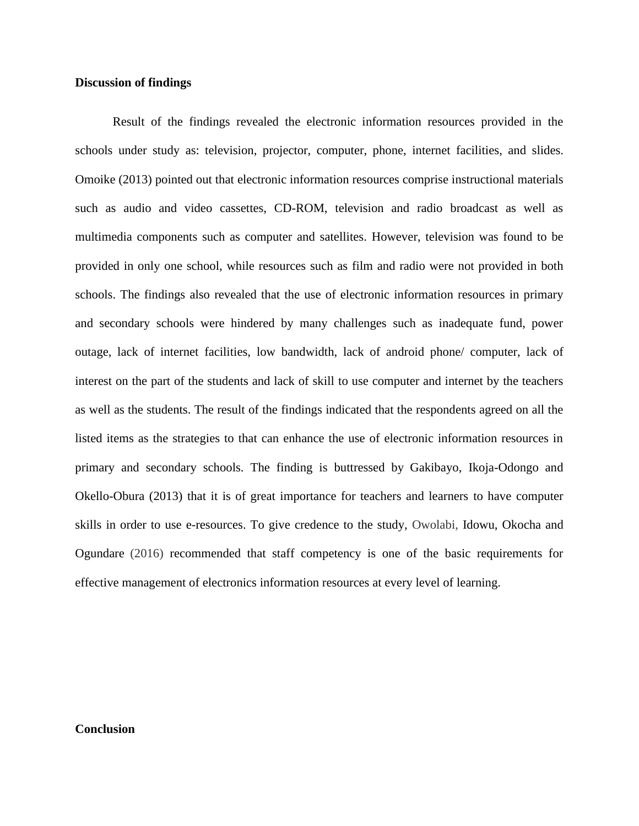#### **Discussion of findings**

Result of the findings revealed the electronic information resources provided in the schools under study as: television, projector, computer, phone, internet facilities, and slides. Omoike (2013) pointed out that electronic information resources comprise instructional materials such as audio and video cassettes, CD-ROM, television and radio broadcast as well as multimedia components such as computer and satellites. However, television was found to be provided in only one school, while resources such as film and radio were not provided in both schools. The findings also revealed that the use of electronic information resources in primary and secondary schools were hindered by many challenges such as inadequate fund, power outage, lack of internet facilities, low bandwidth, lack of android phone/ computer, lack of interest on the part of the students and lack of skill to use computer and internet by the teachers as well as the students. The result of the findings indicated that the respondents agreed on all the listed items as the strategies to that can enhance the use of electronic information resources in primary and secondary schools. The finding is buttressed by Gakibayo, Ikoja-Odongo and Okello-Obura (2013) that it is of great importance for teachers and learners to have computer skills in order to use e-resources. To give credence to the study, Owolabi, Idowu, Okocha and Ogundare (2016) recommended that staff competency is one of the basic requirements for effective management of electronics information resources at every level of learning.

## **Conclusion**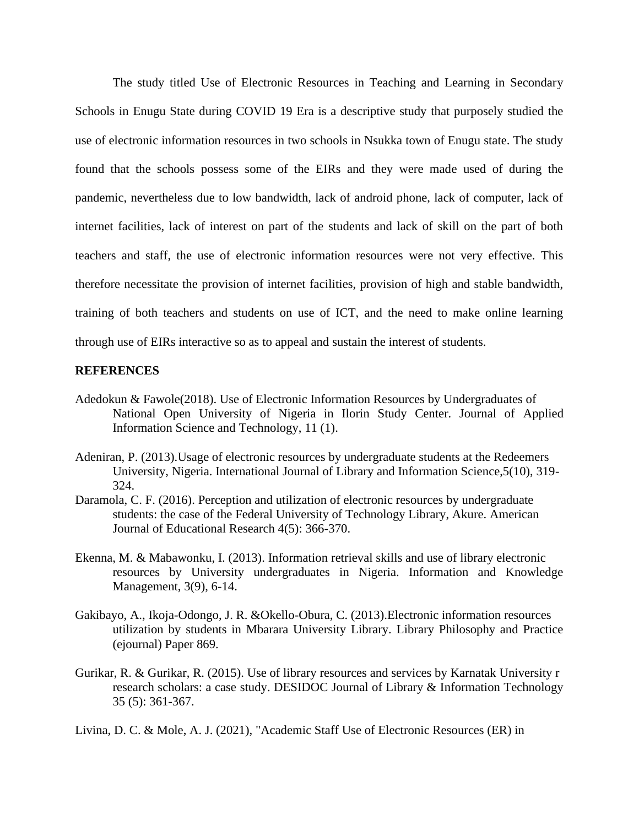The study titled Use of Electronic Resources in Teaching and Learning in Secondary Schools in Enugu State during COVID 19 Era is a descriptive study that purposely studied the use of electronic information resources in two schools in Nsukka town of Enugu state. The study found that the schools possess some of the EIRs and they were made used of during the pandemic, nevertheless due to low bandwidth, lack of android phone, lack of computer, lack of internet facilities, lack of interest on part of the students and lack of skill on the part of both teachers and staff, the use of electronic information resources were not very effective. This therefore necessitate the provision of internet facilities, provision of high and stable bandwidth, training of both teachers and students on use of ICT, and the need to make online learning through use of EIRs interactive so as to appeal and sustain the interest of students.

#### **REFERENCES**

- Adedokun & Fawole(2018). Use of Electronic Information Resources by Undergraduates of National Open University of Nigeria in Ilorin Study Center. Journal of Applied Information Science and Technology, 11 (1).
- Adeniran, P. (2013).Usage of electronic resources by undergraduate students at the Redeemers University, Nigeria. International Journal of Library and Information Science,5(10), 319- 324.
- Daramola, C. F. (2016). Perception and utilization of electronic resources by undergraduate students: the case of the Federal University of Technology Library, Akure. American Journal of Educational Research 4(5): 366-370.
- Ekenna, M. & Mabawonku, I. (2013). Information retrieval skills and use of library electronic resources by University undergraduates in Nigeria. Information and Knowledge Management, 3(9), 6-14.
- Gakibayo, A., Ikoja-Odongo, J. R. &Okello-Obura, C. (2013).Electronic information resources utilization by students in Mbarara University Library. Library Philosophy and Practice (ejournal) Paper 869.
- Gurikar, R. & Gurikar, R. (2015). Use of library resources and services by Karnatak University r research scholars: a case study. DESIDOC Journal of Library & Information Technology 35 (5): 361-367.
- Livina, D. C. & Mole, A. J. (2021), "Academic Staff Use of Electronic Resources (ER) in